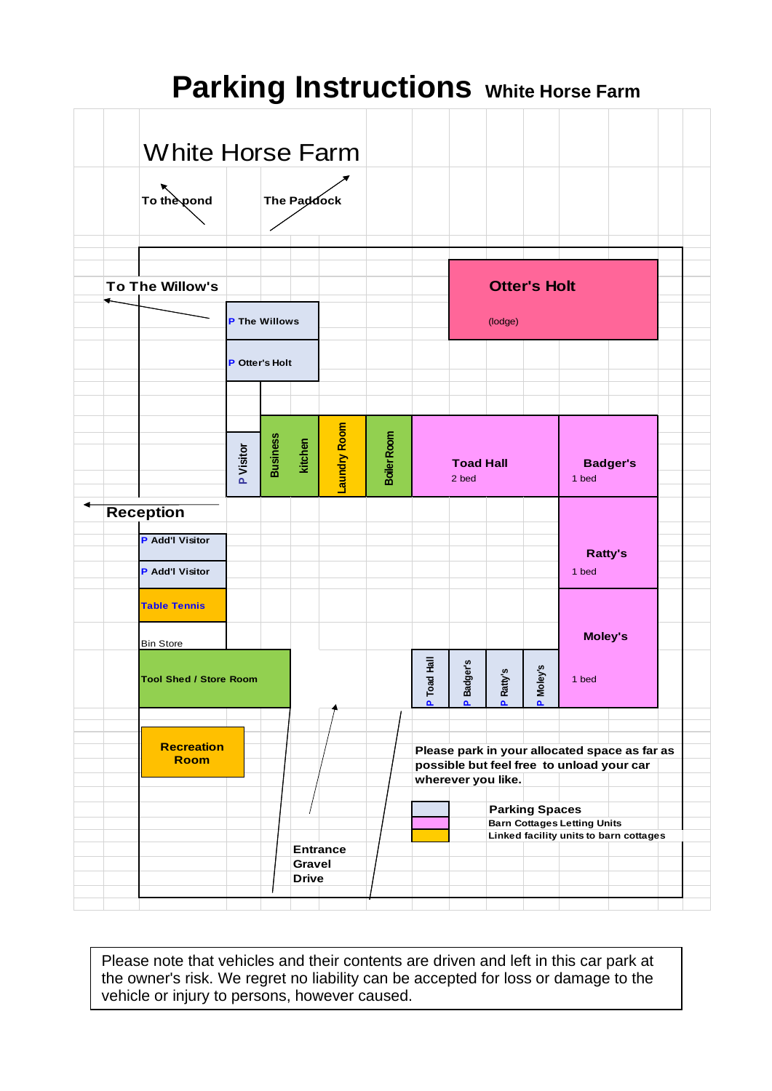# **Parking Instructions White Horse Farm**

| <b>White Horse Farm</b>          |                                                |        |                 |              |                    |                                                                                            |                               |                         |                              |                                                                              |  |  |
|----------------------------------|------------------------------------------------|--------|-----------------|--------------|--------------------|--------------------------------------------------------------------------------------------|-------------------------------|-------------------------|------------------------------|------------------------------------------------------------------------------|--|--|
| To the pond                      |                                                |        | The Paddock     |              |                    |                                                                                            |                               |                         |                              |                                                                              |  |  |
|                                  |                                                |        |                 |              |                    |                                                                                            |                               |                         |                              |                                                                              |  |  |
| To The Willow's                  |                                                |        |                 |              |                    |                                                                                            |                               | <b>Otter's Holt</b>     |                              |                                                                              |  |  |
|                                  | P The Willows                                  |        |                 |              |                    |                                                                                            | (lodge)                       |                         |                              |                                                                              |  |  |
|                                  | P Otter's Holt                                 |        |                 |              |                    |                                                                                            |                               |                         |                              |                                                                              |  |  |
|                                  |                                                |        |                 |              |                    |                                                                                            |                               |                         |                              |                                                                              |  |  |
|                                  | <b>Business</b><br>kitchen<br><b>P</b> Visitor |        |                 | Laundry Room | <b>Boiler Room</b> | <b>Toad Hall</b><br>2 bed                                                                  |                               |                         |                              | <b>Badger's</b><br>1 bed                                                     |  |  |
| <b>Reception</b>                 |                                                |        |                 |              |                    |                                                                                            |                               |                         |                              |                                                                              |  |  |
| P Add'l Visitor                  |                                                |        |                 |              |                    |                                                                                            |                               |                         |                              | <b>Ratty's</b><br>1 bed                                                      |  |  |
| P Add'l Visitor                  |                                                |        |                 |              |                    |                                                                                            |                               |                         |                              |                                                                              |  |  |
| <b>Table Tennis</b>              |                                                |        |                 |              |                    |                                                                                            |                               |                         |                              |                                                                              |  |  |
| <b>Bin Store</b>                 |                                                |        |                 |              |                    |                                                                                            |                               |                         |                              | Moley's                                                                      |  |  |
| <b>Tool Shed / Store Room</b>    |                                                |        |                 |              |                    | Toad Hall<br>$\mathbf{a}$                                                                  | adger's<br>mã<br>$\mathbf{a}$ | Ratty's<br>$\mathbf{a}$ | oley's<br>Ž.<br>$\mathbf{a}$ | 1 bed                                                                        |  |  |
|                                  |                                                |        |                 |              |                    |                                                                                            |                               |                         |                              |                                                                              |  |  |
| <b>Recreation</b><br><b>Room</b> |                                                |        |                 |              |                    | Please park in your allocated space as far as<br>possible but feel free to unload your car |                               |                         |                              |                                                                              |  |  |
|                                  |                                                |        |                 |              |                    | wherever you like.                                                                         |                               |                         |                              |                                                                              |  |  |
|                                  |                                                |        |                 |              |                    |                                                                                            |                               | <b>Parking Spaces</b>   |                              |                                                                              |  |  |
|                                  |                                                |        |                 |              |                    |                                                                                            |                               |                         |                              | <b>Barn Cottages Letting Units</b><br>Linked facility units to barn cottages |  |  |
|                                  |                                                |        | <b>Entrance</b> |              |                    |                                                                                            |                               |                         |                              |                                                                              |  |  |
|                                  |                                                | Gravel |                 |              |                    |                                                                                            |                               |                         |                              |                                                                              |  |  |
|                                  |                                                |        | <b>Drive</b>    |              |                    |                                                                                            |                               |                         |                              |                                                                              |  |  |

Please note that vehicles and their contents are driven and left in this car park at the owner's risk. We regret no liability can be accepted for loss or damage to the vehicle or injury to persons, however caused.